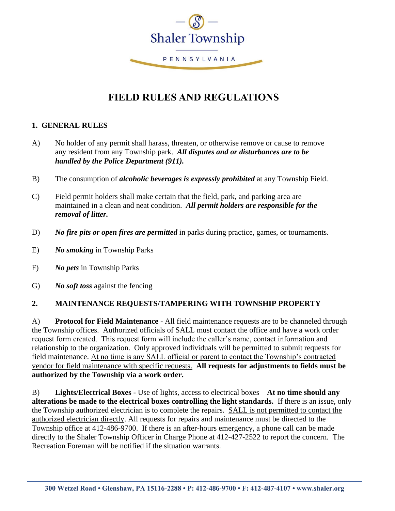

# **FIELD RULES AND REGULATIONS**

#### **1. GENERAL RULES**

- A) No holder of any permit shall harass, threaten, or otherwise remove or cause to remove any resident from any Township park. *All disputes and or disturbances are to be handled by the Police Department (911).*
- B) The consumption of *alcoholic beverages is expressly prohibited* at any Township Field.
- C) Field permit holders shall make certain that the field, park, and parking area are maintained in a clean and neat condition. *All permit holders are responsible for the removal of litter.*
- D) *No fire pits or open fires are permitted* in parks during practice, games, or tournaments.
- E) *No smoking* in Township Parks
- F) *No pets* in Township Parks
- G) *No soft toss* against the fencing

## **2. MAINTENANCE REQUESTS/TAMPERING WITH TOWNSHIP PROPERTY**

A) **Protocol for Field Maintenance** - All field maintenance requests are to be channeled through the Township offices. Authorized officials of SALL must contact the office and have a work order request form created. This request form will include the caller's name, contact information and relationship to the organization. Only approved individuals will be permitted to submit requests for field maintenance. At no time is any SALL official or parent to contact the Township's contracted vendor for field maintenance with specific requests. **All requests for adjustments to fields must be authorized by the Township via a work order.**

B) **Lights/Electrical Boxes** - Use of lights, access to electrical boxes – **At no time should any alterations be made to the electrical boxes controlling the light standards.** If there is an issue, only the Township authorized electrician is to complete the repairs. SALL is not permitted to contact the authorized electrician directly. All requests for repairs and maintenance must be directed to the Township office at 412-486-9700. If there is an after-hours emergency, a phone call can be made directly to the Shaler Township Officer in Charge Phone at 412-427-2522 to report the concern. The Recreation Foreman will be notified if the situation warrants.